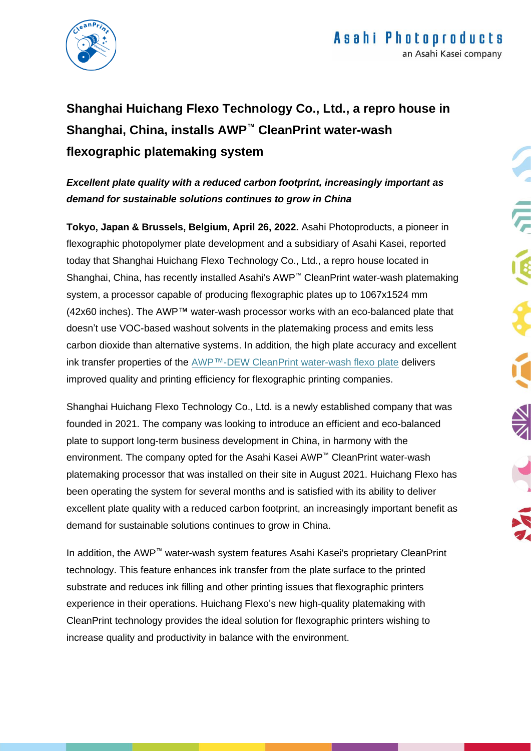

## **Shanghai Huichang Flexo Technology Co., Ltd., a repro house in Shanghai, China, installs AWP™ CleanPrint water-wash flexographic platemaking system**

## *Excellent plate quality with a reduced carbon footprint, increasingly important as demand for sustainable solutions continues to grow in China*

**Tokyo, Japan & Brussels, Belgium, April 26, 2022.** Asahi Photoproducts, a pioneer in flexographic photopolymer plate development and a subsidiary of Asahi Kasei, reported today that Shanghai Huichang Flexo Technology Co., Ltd., a repro house located in Shanghai, China, has recently installed Asahi's AWP™ CleanPrint water-wash platemaking system, a processor capable of producing flexographic plates up to 1067x1524 mm (42x60 inches). The AWP™ water-wash processor works with an eco-balanced plate that doesn't use VOC-based washout solvents in the platemaking process and emits less carbon dioxide than alternative systems. In addition, the high plate accuracy and excellent ink transfer properties of the AWP™-DEW [CleanPrint water-wash flexo plate](https://asahi-photoproducts.com/en/awp) delivers improved quality and printing efficiency for flexographic printing companies.

Shanghai Huichang Flexo Technology Co., Ltd. is a newly established company that was founded in 2021. The company was looking to introduce an efficient and eco-balanced plate to support long-term business development in China, in harmony with the environment. The company opted for the Asahi Kasei AWP™ CleanPrint water-wash platemaking processor that was installed on their site in August 2021. Huichang Flexo has been operating the system for several months and is satisfied with its ability to deliver excellent plate quality with a reduced carbon footprint, an increasingly important benefit as demand for sustainable solutions continues to grow in China.

In addition, the AWP™ water-wash system features Asahi Kasei's proprietary CleanPrint technology. This feature enhances ink transfer from the plate surface to the printed substrate and reduces ink filling and other printing issues that flexographic printers experience in their operations. Huichang Flexo's new high-quality platemaking with CleanPrint technology provides the ideal solution for flexographic printers wishing to increase quality and productivity in balance with the environment.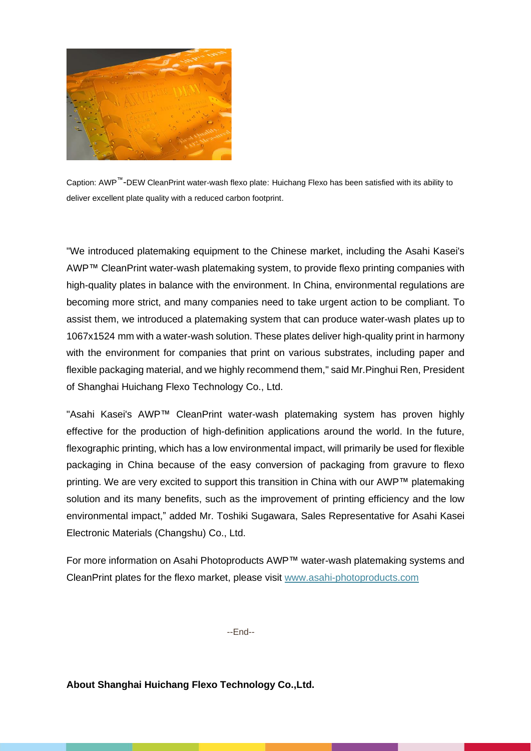

Caption: AWP™-DEW CleanPrint water-wash flexo plate: Huichang Flexo has been satisfied with its ability to deliver excellent plate quality with a reduced carbon footprint.

"We introduced platemaking equipment to the Chinese market, including the Asahi Kasei's AWP™ CleanPrint water-wash platemaking system, to provide flexo printing companies with high-quality plates in balance with the environment. In China, environmental regulations are becoming more strict, and many companies need to take urgent action to be compliant. To assist them, we introduced a platemaking system that can produce water-wash plates up to 1067x1524 mm with a water-wash solution. These plates deliver high-quality print in harmony with the environment for companies that print on various substrates, including paper and flexible packaging material, and we highly recommend them," said Mr.Pinghui Ren, President of Shanghai Huichang Flexo Technology Co., Ltd.

"Asahi Kasei's AWP™ CleanPrint water-wash platemaking system has proven highly effective for the production of high-definition applications around the world. In the future, flexographic printing, which has a low environmental impact, will primarily be used for flexible packaging in China because of the easy conversion of packaging from gravure to flexo printing. We are very excited to support this transition in China with our AWP™ platemaking solution and its many benefits, such as the improvement of printing efficiency and the low environmental impact," added Mr. Toshiki Sugawara, Sales Representative for Asahi Kasei Electronic Materials (Changshu) Co., Ltd.

For more information on Asahi Photoproducts AWP™ water-wash platemaking systems and CleanPrint plates for the flexo market, please visit [www.asahi-photoproducts.com](http://www.asahi-photoproducts.com/)

--End--

**About Shanghai Huichang Flexo Technology Co.,Ltd.**

ľ